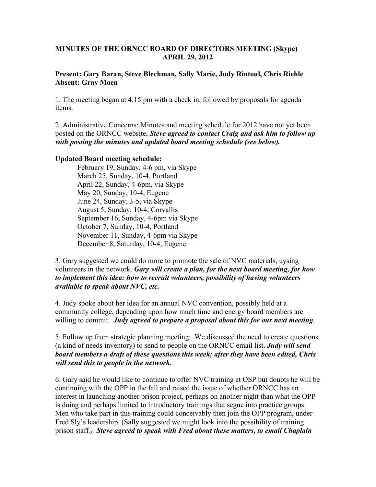## **MINUTES OF THE ORNCC BOARD OF DIRECTORS MEETING (Skype) APRIL 29, 2012**

## **Present: Gary Baran, Steve Blechman, Sally Marie, Judy Rintoul, Chris Riehle Absent: Gray Moen**

1. The meeting began at 4:15 pm with a check in, followed by proposals for agenda items.

2. Administrative Concerns: Minutes and meeting schedule for 2012 have not yet been posted on the ORNCC website**.** *Steve agreed to contact Craig and ask him to follow up with posting the minutes and updated board meeting schedule (see below).*

## **Updated Board meeting schedule:**

February 19, Sunday, 4-6 pm, via Skype March 25, Sunday, 10-4, Portland April 22, Sunday, 4-6pm, via Skype May 20, Sunday, 10-4, Eugene June 24, Sunday, 3-5, via Skype August 5, Sunday, 10-4, Corvallis September 16, Sunday, 4-6pm via Skype October 7, Sunday, 10-4, Portland November 11, Sunday, 4-6pm via Skype December 8, Saturday, 10-4, Eugene

3. Gary suggested we could do more to promote the sale of NVC materials, uysing volunteers in the network. *Gary will create a plan, for the next board meeting, for how to implement this idea: how to recruit volunteers, possibility of having volunteers available to speak about NVC, etc.*

4. Judy spoke about her idea for an annual NVC convention, possibly held at a community college, depending upon how much time and energy board members are willing to commit. *Judy agreed to prepare a proposal about this for our next meeting.*

5. Follow up from strategic planning meeting: We discussed the need to create questions (a kind of needs inventory) to send to people on the ORNCC email list**.** *Judy will send board members a draft of these questions this week; after they have been edited, Chris will send this to people in the network.*

6. Gary said he would like to continue to offer NVC training at OSP but doubts he will be continuing with the OPP in the fall and raised the issue of whether ORNCC has an interest in launching another prison project, perhaps on another night than what the OPP is doing and perhaps limited to introductory trainings that segue into practice groups. Men who take part in this training could conceivably then join the OPP program, under Fred Sly's leadership. (Sally suggested we might look into the possibility of training prison staff*.) Steve agreed to speak with Fred about these matters, to email Chaplain*